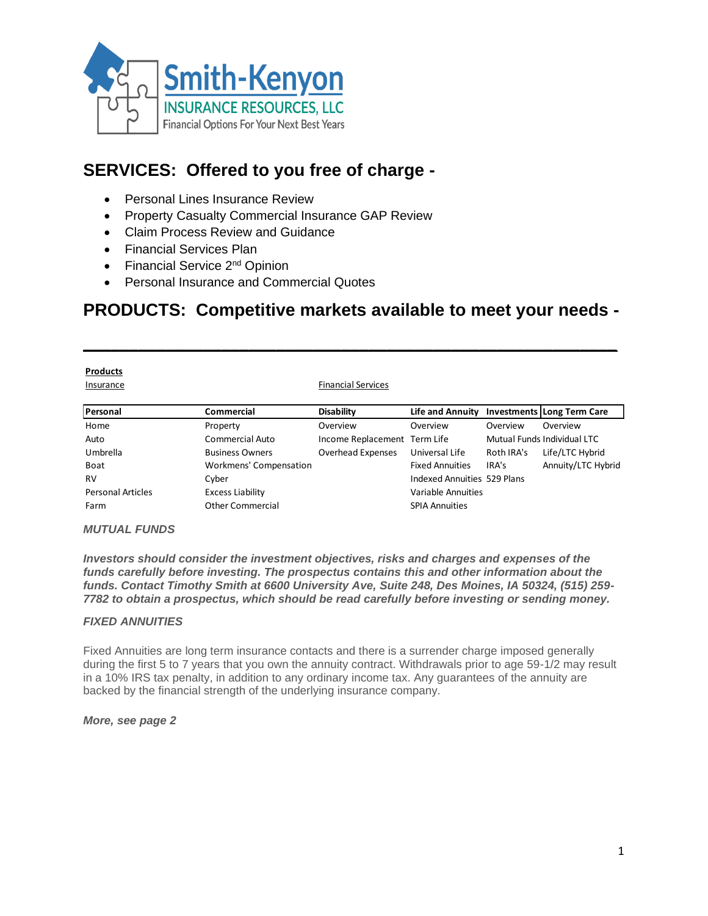

# **SERVICES: Offered to you free of charge -**

- Personal Lines Insurance Review
- Property Casualty Commercial Insurance GAP Review
- Claim Process Review and Guidance
- Financial Services Plan
- Financial Service 2<sup>nd</sup> Opinion
- Personal Insurance and Commercial Quotes

## **PRODUCTS: Competitive markets available to meet your needs -**

| <b>Products</b><br>Insurance |                        | <b>Financial Services</b>    |                                             |            |                             |
|------------------------------|------------------------|------------------------------|---------------------------------------------|------------|-----------------------------|
| Personal                     | <b>Commercial</b>      | <b>Disability</b>            | Life and Annuity Investments Long Term Care |            |                             |
| Home                         | Property               | Overview                     | Overview                                    | Overview   | Overview                    |
| Auto                         | <b>Commercial Auto</b> | Income Replacement Term Life |                                             |            | Mutual Funds Individual LTC |
| Umbrella                     | <b>Business Owners</b> | Overhead Expenses            | Universal Life                              | Roth IRA's | Life/LTC Hybrid             |
| Boat                         | Workmens' Compensation |                              | <b>Fixed Annuities</b>                      | IRA's      | Annuity/LTC Hybrid          |

RV Cyber Communities 529 Plans

Personal Articles **Excess Liability Excess Liability** Variable Annuities Farm **Commercial** Cher Commercial SPIA Annuities

#### *MUTUAL FUNDS*

*Investors should consider the investment objectives, risks and charges and expenses of the funds carefully before investing. The prospectus contains this and other information about the funds. Contact Timothy Smith at 6600 University Ave, Suite 248, Des Moines, IA 50324, (515) 259- 7782 to obtain a prospectus, which should be read carefully before investing or sending money.*

#### *FIXED ANNUITIES*

Fixed Annuities are long term insurance contacts and there is a surrender charge imposed generally during the first 5 to 7 years that you own the annuity contract. Withdrawals prior to age 59-1/2 may result in a 10% IRS tax penalty, in addition to any ordinary income tax. Any guarantees of the annuity are backed by the financial strength of the underlying insurance company.

#### *More, see page 2*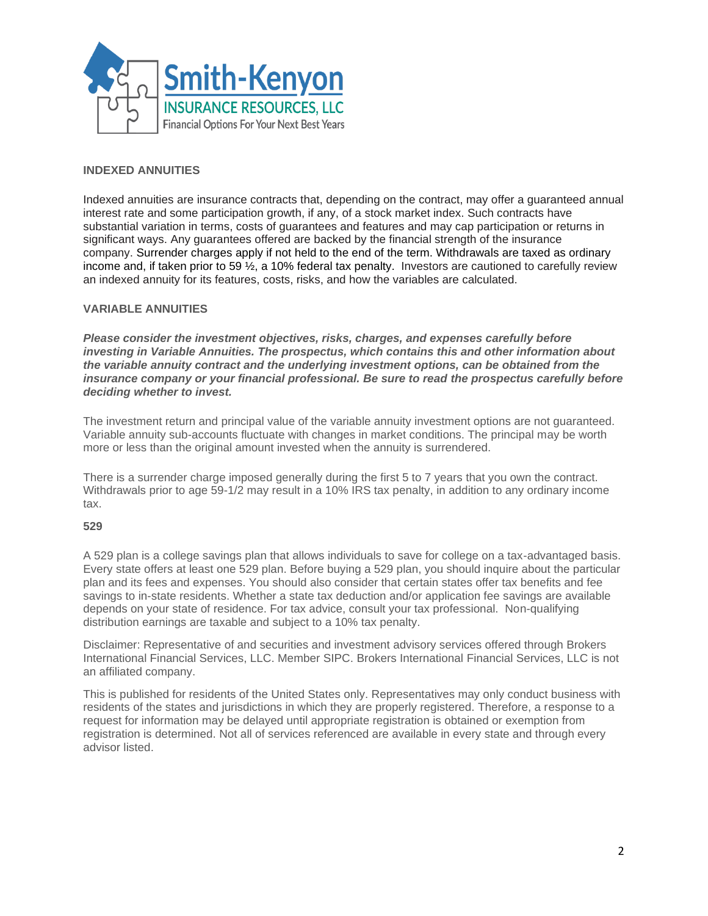

### **INDEXED ANNUITIES**

Indexed annuities are insurance contracts that, depending on the contract, may offer a guaranteed annual interest rate and some participation growth, if any, of a stock market index. Such contracts have substantial variation in terms, costs of guarantees and features and may cap participation or returns in significant ways. Any guarantees offered are backed by the financial strength of the insurance company. Surrender charges apply if not held to the end of the term. Withdrawals are taxed as ordinary income and, if taken prior to 59 ½, a 10% federal tax penalty. Investors are cautioned to carefully review an indexed annuity for its features, costs, risks, and how the variables are calculated.

#### **VARIABLE ANNUITIES**

*Please consider the investment objectives, risks, charges, and expenses carefully before investing in Variable Annuities. The prospectus, which contains this and other information about the variable annuity contract and the underlying investment options, can be obtained from the insurance company or your financial professional. Be sure to read the prospectus carefully before deciding whether to invest.*

The investment return and principal value of the variable annuity investment options are not guaranteed. Variable annuity sub-accounts fluctuate with changes in market conditions. The principal may be worth more or less than the original amount invested when the annuity is surrendered.

There is a surrender charge imposed generally during the first 5 to 7 years that you own the contract. Withdrawals prior to age 59-1/2 may result in a 10% IRS tax penalty, in addition to any ordinary income tax.

#### **529**

A 529 plan is a college savings plan that allows individuals to save for college on a tax-advantaged basis. Every state offers at least one 529 plan. Before buying a 529 plan, you should inquire about the particular plan and its fees and expenses. You should also consider that certain states offer tax benefits and fee savings to in-state residents. Whether a state tax deduction and/or application fee savings are available depends on your state of residence. For tax advice, consult your tax professional. Non-qualifying distribution earnings are taxable and subject to a 10% tax penalty.

Disclaimer: Representative of and securities and investment advisory services offered through Brokers International Financial Services, LLC. Member SIPC. Brokers International Financial Services, LLC is not an affiliated company.

This is published for residents of the United States only. Representatives may only conduct business with residents of the states and jurisdictions in which they are properly registered. Therefore, a response to a request for information may be delayed until appropriate registration is obtained or exemption from registration is determined. Not all of services referenced are available in every state and through every advisor listed.